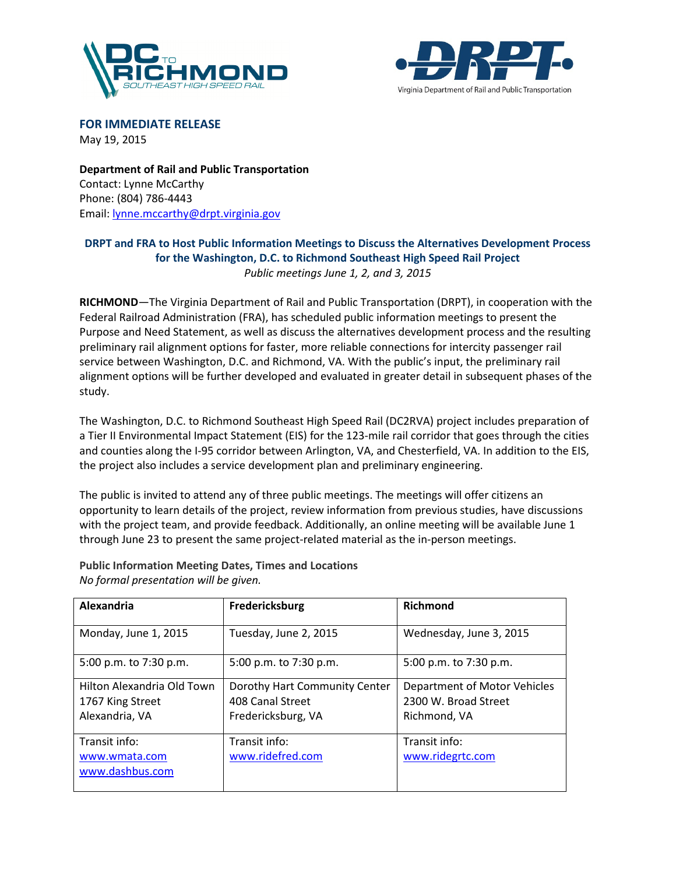



FOR IMMEDIATE RELEASE May 19, 2015

Department of Rail and Public Transportation Contact: Lynne McCarthy Phone: (804) 786-4443 Email: lynne.mccarthy@drpt.virginia.gov

## DRPT and FRA to Host Public Information Meetings to Discuss the Alternatives Development Process for the Washington, D.C. to Richmond Southeast High Speed Rail Project Public meetings June 1, 2, and 3, 2015

RICHMOND—The Virginia Department of Rail and Public Transportation (DRPT), in cooperation with the Federal Railroad Administration (FRA), has scheduled public information meetings to present the Purpose and Need Statement, as well as discuss the alternatives development process and the resulting preliminary rail alignment options for faster, more reliable connections for intercity passenger rail service between Washington, D.C. and Richmond, VA. With the public's input, the preliminary rail alignment options will be further developed and evaluated in greater detail in subsequent phases of the study.

The Washington, D.C. to Richmond Southeast High Speed Rail (DC2RVA) project includes preparation of a Tier II Environmental Impact Statement (EIS) for the 123-mile rail corridor that goes through the cities and counties along the I-95 corridor between Arlington, VA, and Chesterfield, VA. In addition to the EIS, the project also includes a service development plan and preliminary engineering.

The public is invited to attend any of three public meetings. The meetings will offer citizens an opportunity to learn details of the project, review information from previous studies, have discussions with the project team, and provide feedback. Additionally, an online meeting will be available June 1 through June 23 to present the same project-related material as the in-person meetings.

| Alexandria                                                       | Fredericksburg                                                          | <b>Richmond</b>                                                      |
|------------------------------------------------------------------|-------------------------------------------------------------------------|----------------------------------------------------------------------|
| Monday, June 1, 2015                                             | Tuesday, June 2, 2015                                                   | Wednesday, June 3, 2015                                              |
| 5:00 p.m. to 7:30 p.m.                                           | 5:00 p.m. to 7:30 p.m.                                                  | 5:00 p.m. to 7:30 p.m.                                               |
| Hilton Alexandria Old Town<br>1767 King Street<br>Alexandria, VA | Dorothy Hart Community Center<br>408 Canal Street<br>Fredericksburg, VA | Department of Motor Vehicles<br>2300 W. Broad Street<br>Richmond, VA |
| Transit info:<br>www.wmata.com<br>www.dashbus.com                | Transit info:<br>www.ridefred.com                                       | Transit info:<br>www.ridegrtc.com                                    |

Public Information Meeting Dates, Times and Locations No formal presentation will be given.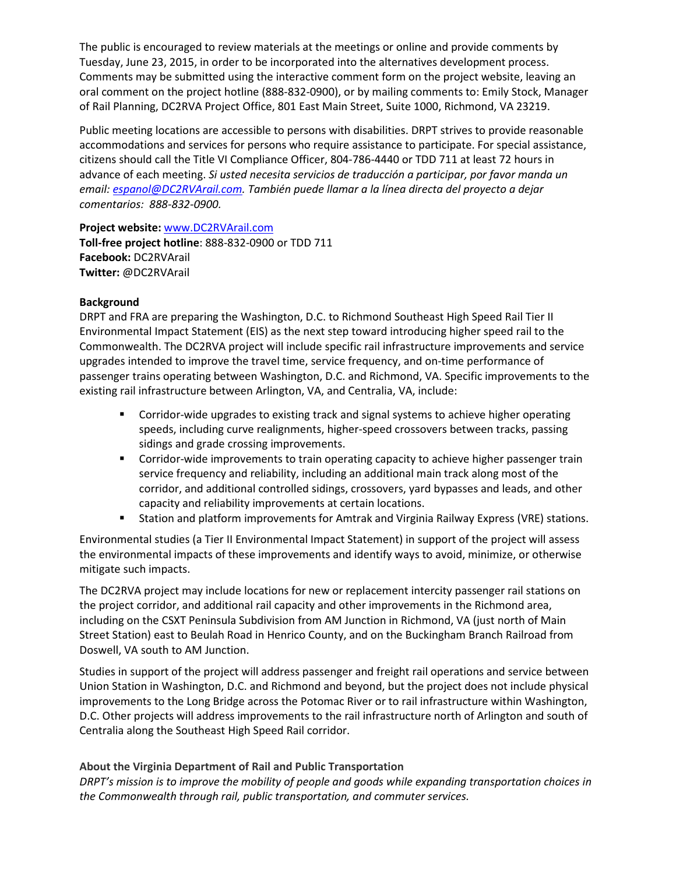The public is encouraged to review materials at the meetings or online and provide comments by Tuesday, June 23, 2015, in order to be incorporated into the alternatives development process. Comments may be submitted using the interactive comment form on the project website, leaving an oral comment on the project hotline (888-832-0900), or by mailing comments to: Emily Stock, Manager of Rail Planning, DC2RVA Project Office, 801 East Main Street, Suite 1000, Richmond, VA 23219.

Public meeting locations are accessible to persons with disabilities. DRPT strives to provide reasonable accommodations and services for persons who require assistance to participate. For special assistance, citizens should call the Title VI Compliance Officer, 804-786-4440 or TDD 711 at least 72 hours in advance of each meeting. Si usted necesita servicios de traducción a participar, por favor manda un email: espanol@DC2RVArail.com. También puede llamar a la línea directa del proyecto a dejar comentarios: 888-832-0900.

Project website: www.DC2RVArail.com Toll-free project hotline: 888-832-0900 or TDD 711 Facebook: DC2RVArail Twitter: @DC2RVArail

## **Background**

DRPT and FRA are preparing the Washington, D.C. to Richmond Southeast High Speed Rail Tier II Environmental Impact Statement (EIS) as the next step toward introducing higher speed rail to the Commonwealth. The DC2RVA project will include specific rail infrastructure improvements and service upgrades intended to improve the travel time, service frequency, and on-time performance of passenger trains operating between Washington, D.C. and Richmond, VA. Specific improvements to the existing rail infrastructure between Arlington, VA, and Centralia, VA, include:

- **Corridor-wide upgrades to existing track and signal systems to achieve higher operating** speeds, including curve realignments, higher-speed crossovers between tracks, passing sidings and grade crossing improvements.
- **Corridor-wide improvements to train operating capacity to achieve higher passenger train** service frequency and reliability, including an additional main track along most of the corridor, and additional controlled sidings, crossovers, yard bypasses and leads, and other capacity and reliability improvements at certain locations.
- Station and platform improvements for Amtrak and Virginia Railway Express (VRE) stations.

Environmental studies (a Tier II Environmental Impact Statement) in support of the project will assess the environmental impacts of these improvements and identify ways to avoid, minimize, or otherwise mitigate such impacts.

The DC2RVA project may include locations for new or replacement intercity passenger rail stations on the project corridor, and additional rail capacity and other improvements in the Richmond area, including on the CSXT Peninsula Subdivision from AM Junction in Richmond, VA (just north of Main Street Station) east to Beulah Road in Henrico County, and on the Buckingham Branch Railroad from Doswell, VA south to AM Junction.

Studies in support of the project will address passenger and freight rail operations and service between Union Station in Washington, D.C. and Richmond and beyond, but the project does not include physical improvements to the Long Bridge across the Potomac River or to rail infrastructure within Washington, D.C. Other projects will address improvements to the rail infrastructure north of Arlington and south of Centralia along the Southeast High Speed Rail corridor.

## About the Virginia Department of Rail and Public Transportation

DRPT's mission is to improve the mobility of people and goods while expanding transportation choices in the Commonwealth through rail, public transportation, and commuter services.